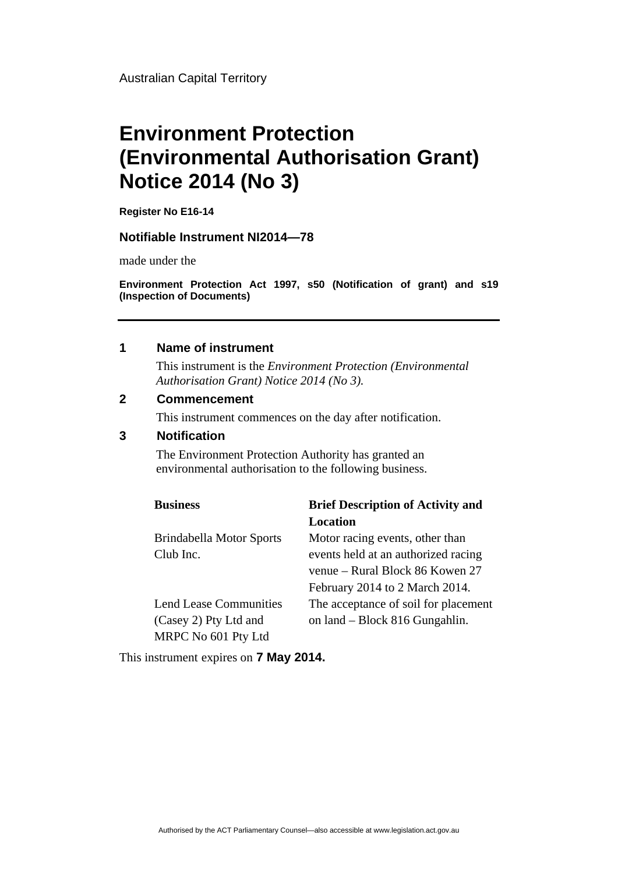Australian Capital Territory

# **Environment Protection (Environmental Authorisation Grant) Notice 2014 (No 3)**

**Register No E16-14** 

#### **Notifiable Instrument NI2014—78**

made under the

**Environment Protection Act 1997, s50 (Notification of grant) and s19 (Inspection of Documents)** 

### **1 Name of instrument**

This instrument is the *Environment Protection (Environmental Authorisation Grant) Notice 2014 (No 3).* 

#### **2 Commencement**

This instrument commences on the day after notification.

#### **3 Notification**

The Environment Protection Authority has granted an environmental authorisation to the following business.

| <b>Business</b>               | <b>Brief Description of Activity and</b> |
|-------------------------------|------------------------------------------|
|                               | Location                                 |
| Brindabella Motor Sports      | Motor racing events, other than          |
| Club Inc.                     | events held at an authorized racing      |
|                               | venue – Rural Block 86 Kowen 27          |
|                               | February 2014 to 2 March 2014.           |
| <b>Lend Lease Communities</b> | The acceptance of soil for placement     |
| (Casey 2) Pty Ltd and         | on land – Block 816 Gungahlin.           |
| MRPC No 601 Pty Ltd           |                                          |

This instrument expires on **7 May 2014.**